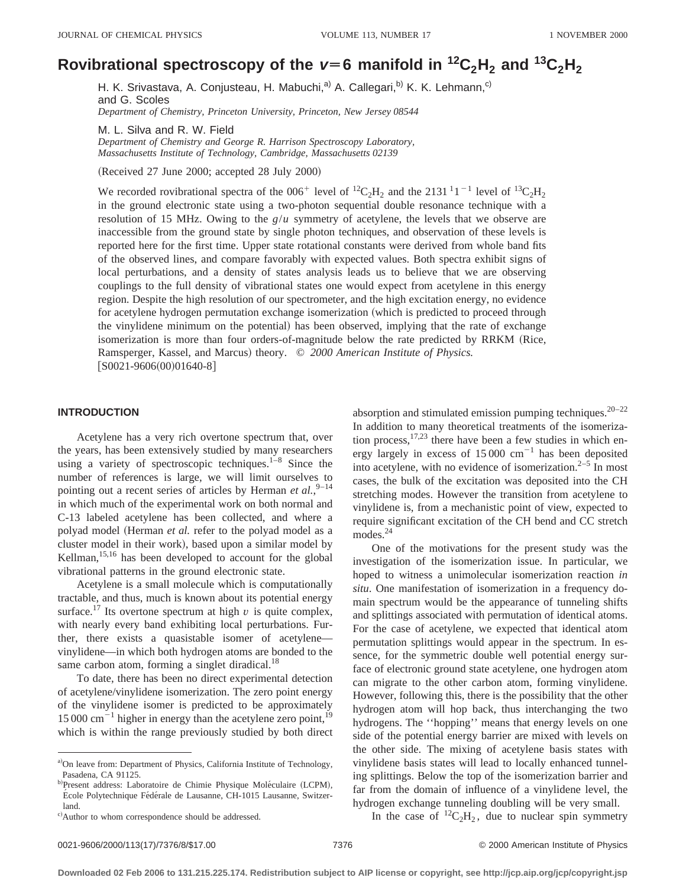# Rovibrational spectroscopy of the  $v=6$  manifold in  ${}^{12}C_2H_2$  and  ${}^{13}C_2H_2$

H. K. Srivastava, A. Conjusteau, H. Mabuchi,<sup>a)</sup> A. Callegari,<sup>b)</sup> K. K. Lehmann,<sup>c)</sup> and G. Scoles *Department of Chemistry, Princeton University, Princeton, New Jersey 08544*

M. L. Silva and R. W. Field *Department of Chemistry and George R. Harrison Spectroscopy Laboratory, Massachusetts Institute of Technology, Cambridge, Massachusetts 02139*

(Received 27 June 2000; accepted 28 July 2000)

We recorded rovibrational spectra of the 006<sup>+</sup> level of <sup>12</sup>C<sub>2</sub>H<sub>2</sub> and the 2131<sup>1</sup>1<sup>-1</sup> level of <sup>13</sup>C<sub>2</sub>H<sub>2</sub> in the ground electronic state using a two-photon sequential double resonance technique with a resolution of 15 MHz. Owing to the  $g/u$  symmetry of acetylene, the levels that we observe are inaccessible from the ground state by single photon techniques, and observation of these levels is reported here for the first time. Upper state rotational constants were derived from whole band fits of the observed lines, and compare favorably with expected values. Both spectra exhibit signs of local perturbations, and a density of states analysis leads us to believe that we are observing couplings to the full density of vibrational states one would expect from acetylene in this energy region. Despite the high resolution of our spectrometer, and the high excitation energy, no evidence for acetylene hydrogen permutation exchange isomerization (which is predicted to proceed through the vinylidene minimum on the potential) has been observed, implying that the rate of exchange isomerization is more than four orders-of-magnitude below the rate predicted by RRKM (Rice, Ramsperger, Kassel, and Marcus) theory. © 2000 American Institute of Physics.  $[S0021-9606(00)01640-8]$ 

## **INTRODUCTION**

Acetylene has a very rich overtone spectrum that, over the years, has been extensively studied by many researchers using a variety of spectroscopic techniques. $1-8$  Since the number of references is large, we will limit ourselves to pointing out a recent series of articles by Herman *et al.*,<sup>9-14</sup> in which much of the experimental work on both normal and C-13 labeled acetylene has been collected, and where a polyad model (Herman *et al.* refer to the polyad model as a cluster model in their work), based upon a similar model by Kellman,<sup>15,16</sup> has been developed to account for the global vibrational patterns in the ground electronic state.

Acetylene is a small molecule which is computationally tractable, and thus, much is known about its potential energy surface.<sup>17</sup> Its overtone spectrum at high  $\nu$  is quite complex, with nearly every band exhibiting local perturbations. Further, there exists a quasistable isomer of acetylene vinylidene—in which both hydrogen atoms are bonded to the same carbon atom, forming a singlet diradical. $^{18}$ 

To date, there has been no direct experimental detection of acetylene/vinylidene isomerization. The zero point energy of the vinylidene isomer is predicted to be approximately 15 000 cm<sup> $^{-1}$ </sup> higher in energy than the acetylene zero point,<sup>19</sup> which is within the range previously studied by both direct absorption and stimulated emission pumping techniques. $20-22$ In addition to many theoretical treatments of the isomerization process,  $17,23$  there have been a few studies in which energy largely in excess of  $15000 \text{ cm}^{-1}$  has been deposited into acetylene, with no evidence of isomerization. $2-5$  In most cases, the bulk of the excitation was deposited into the CH stretching modes. However the transition from acetylene to vinylidene is, from a mechanistic point of view, expected to require significant excitation of the CH bend and CC stretch modes. $24$ 

One of the motivations for the present study was the investigation of the isomerization issue. In particular, we hoped to witness a unimolecular isomerization reaction *in situ*. One manifestation of isomerization in a frequency domain spectrum would be the appearance of tunneling shifts and splittings associated with permutation of identical atoms. For the case of acetylene, we expected that identical atom permutation splittings would appear in the spectrum. In essence, for the symmetric double well potential energy surface of electronic ground state acetylene, one hydrogen atom can migrate to the other carbon atom, forming vinylidene. However, following this, there is the possibility that the other hydrogen atom will hop back, thus interchanging the two hydrogens. The ''hopping'' means that energy levels on one side of the potential energy barrier are mixed with levels on the other side. The mixing of acetylene basis states with vinylidene basis states will lead to locally enhanced tunneling splittings. Below the top of the isomerization barrier and far from the domain of influence of a vinylidene level, the hydrogen exchange tunneling doubling will be very small.

In the case of  ${}^{12}C_2H_2$ , due to nuclear spin symmetry

a)On leave from: Department of Physics, California Institute of Technology, Pasadena, CA 91125.

b)Present address: Laboratoire de Chimie Physique Moléculaire (LCPM), École Polytechnique Fédérale de Lausanne, CH-1015 Lausanne, Switzerland.

c) Author to whom correspondence should be addressed.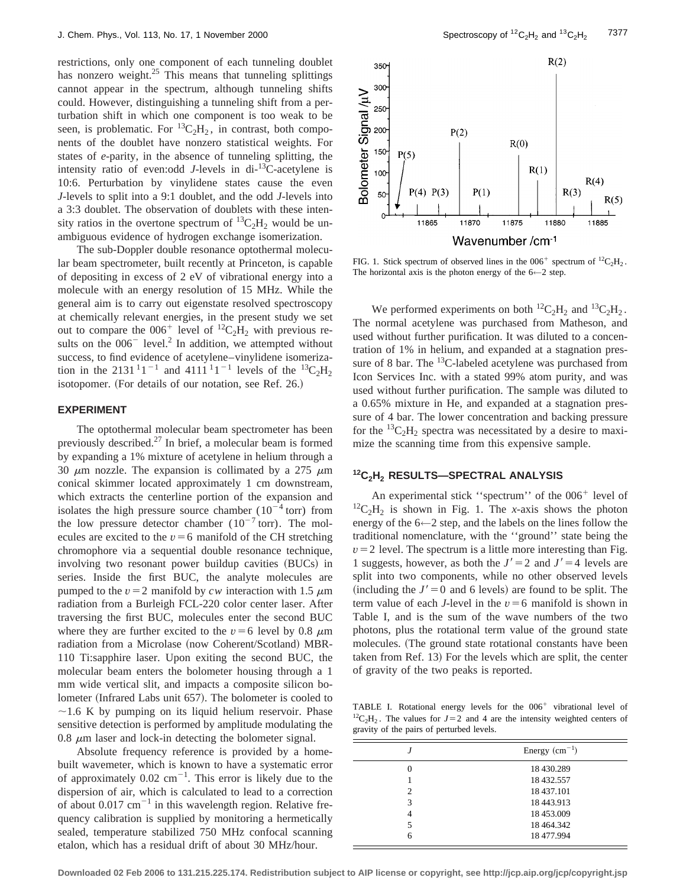restrictions, only one component of each tunneling doublet has nonzero weight.<sup>25</sup> This means that tunneling splittings cannot appear in the spectrum, although tunneling shifts could. However, distinguishing a tunneling shift from a perturbation shift in which one component is too weak to be seen, is problematic. For  ${}^{13}C_2H_2$ , in contrast, both components of the doublet have nonzero statistical weights. For states of *e*-parity, in the absence of tunneling splitting, the intensity ratio of even:odd *J*-levels in di-13C-acetylene is 10:6. Perturbation by vinylidene states cause the even *J*-levels to split into a 9:1 doublet, and the odd *J*-levels into a 3:3 doublet. The observation of doublets with these intensity ratios in the overtone spectrum of  ${}^{13}C_2H_2$  would be unambiguous evidence of hydrogen exchange isomerization.

The sub-Doppler double resonance optothermal molecular beam spectrometer, built recently at Princeton, is capable of depositing in excess of 2 eV of vibrational energy into a molecule with an energy resolution of 15 MHz. While the general aim is to carry out eigenstate resolved spectroscopy at chemically relevant energies, in the present study we set out to compare the  $006^+$  level of  ${}^{12}C_2H_2$  with previous results on the  $006^-$  level.<sup>2</sup> In addition, we attempted without success, to find evidence of acetylene–vinylidene isomerization in the 2131<sup>1</sup>1<sup>-1</sup> and 4111<sup>1</sup>1<sup>-1</sup> levels of the <sup>13</sup>C<sub>2</sub>H<sub>2</sub> isotopomer. (For details of our notation, see Ref. 26.)

## **EXPERIMENT**

The optothermal molecular beam spectrometer has been previously described. $^{27}$  In brief, a molecular beam is formed by expanding a 1% mixture of acetylene in helium through a 30  $\mu$ m nozzle. The expansion is collimated by a 275  $\mu$ m conical skimmer located approximately 1 cm downstream, which extracts the centerline portion of the expansion and isolates the high pressure source chamber  $(10^{-4} \text{ torr})$  from the low pressure detector chamber  $(10^{-7} \text{ torr})$ . The molecules are excited to the  $v=6$  manifold of the CH stretching chromophore via a sequential double resonance technique, involving two resonant power buildup cavities (BUCs) in series. Inside the first BUC, the analyte molecules are pumped to the  $v=2$  manifold by *cw* interaction with 1.5  $\mu$ m radiation from a Burleigh FCL-220 color center laser. After traversing the first BUC, molecules enter the second BUC where they are further excited to the  $v=6$  level by 0.8  $\mu$ m radiation from a Microlase (now Coherent/Scotland) MBR-110 Ti:sapphire laser. Upon exiting the second BUC, the molecular beam enters the bolometer housing through a 1 mm wide vertical slit, and impacts a composite silicon bolometer (Infrared Labs unit 657). The bolometer is cooled to  $\sim$ 1.6 K by pumping on its liquid helium reservoir. Phase sensitive detection is performed by amplitude modulating the 0.8  $\mu$ m laser and lock-in detecting the bolometer signal.

Absolute frequency reference is provided by a homebuilt wavemeter, which is known to have a systematic error of approximately  $0.02 \text{ cm}^{-1}$ . This error is likely due to the dispersion of air, which is calculated to lead to a correction of about  $0.017$  cm<sup>-1</sup> in this wavelength region. Relative frequency calibration is supplied by monitoring a hermetically sealed, temperature stabilized 750 MHz confocal scanning etalon, which has a residual drift of about 30 MHz/hour.



FIG. 1. Stick spectrum of observed lines in the  $006^+$  spectrum of  $^{12}C_2H_2$ . The horizontal axis is the photon energy of the  $6 \leftarrow 2$  step.

We performed experiments on both  ${}^{12}C_2H_2$  and  ${}^{13}C_2H_2$ . The normal acetylene was purchased from Matheson, and used without further purification. It was diluted to a concentration of 1% in helium, and expanded at a stagnation pressure of 8 bar. The  $^{13}$ C-labeled acetylene was purchased from Icon Services Inc. with a stated 99% atom purity, and was used without further purification. The sample was diluted to a 0.65% mixture in He, and expanded at a stagnation pressure of 4 bar. The lower concentration and backing pressure for the  ${}^{13}C_2H_2$  spectra was necessitated by a desire to maximize the scanning time from this expensive sample.

# **12C2H2 RESULTS—SPECTRAL ANALYSIS**

An experimental stick "spectrum" of the  $006<sup>+</sup>$  level of  ${}^{12}C_2H_2$  is shown in Fig. 1. The *x*-axis shows the photon energy of the 6←2 step, and the labels on the lines follow the traditional nomenclature, with the ''ground'' state being the  $v=2$  level. The spectrum is a little more interesting than Fig. 1 suggests, however, as both the  $J' = 2$  and  $J' = 4$  levels are split into two components, while no other observed levels  $(including the J' = 0 and 6 levels)$  are found to be split. The term value of each *J*-level in the  $v = 6$  manifold is shown in Table I, and is the sum of the wave numbers of the two photons, plus the rotational term value of the ground state molecules. (The ground state rotational constants have been taken from Ref. 13) For the levels which are split, the center of gravity of the two peaks is reported.

TABLE I. Rotational energy levels for the  $006<sup>+</sup>$  vibrational level of <sup>12</sup>C<sub>2</sub>H<sub>2</sub>. The values for  $J=2$  and 4 are the intensity weighted centers of gravity of the pairs of perturbed levels.

|   | Energy $(cm-1)$ |  |
|---|-----------------|--|
| 0 | 18 430.289      |  |
|   | 18 432.557      |  |
| 2 | 18 437.101      |  |
| 3 | 18 443.913      |  |
| 4 | 18 453,009      |  |
| 5 | 18 464.342      |  |
| 6 | 18 477.994      |  |
|   |                 |  |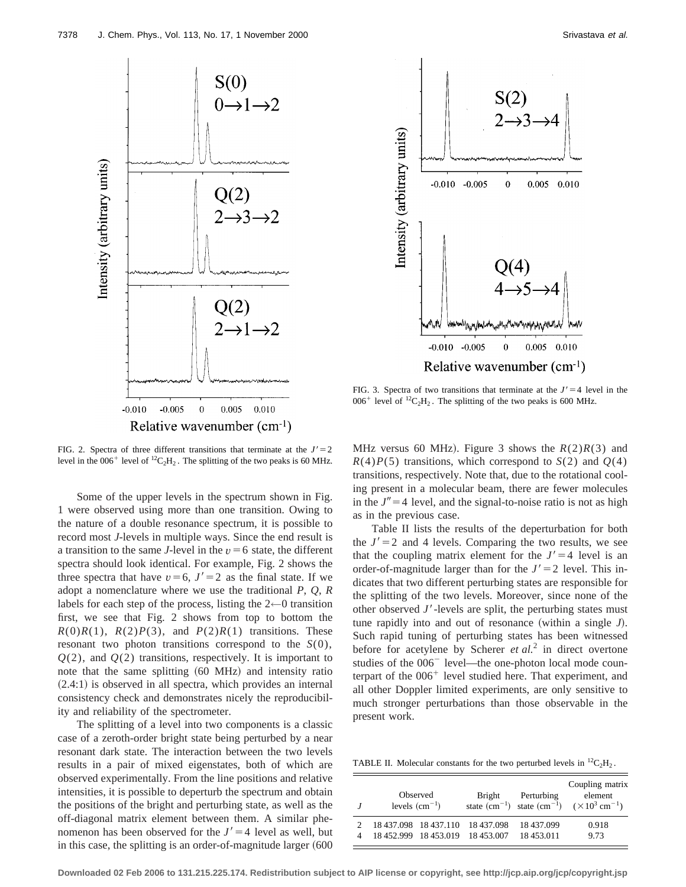



FIG. 3. Spectra of two transitions that terminate at the  $J' = 4$  level in the  $006^+$  level of <sup>12</sup>C<sub>2</sub>H<sub>2</sub>. The splitting of the two peaks is 600 MHz.

FIG. 2. Spectra of three different transitions that terminate at the  $J'=2$ level in the  $006^+$  level of  ${}^{12}C_2H_2$ . The splitting of the two peaks is 60 MHz.

Some of the upper levels in the spectrum shown in Fig. 1 were observed using more than one transition. Owing to the nature of a double resonance spectrum, it is possible to record most *J*-levels in multiple ways. Since the end result is a transition to the same *J*-level in the  $v = 6$  state, the different spectra should look identical. For example, Fig. 2 shows the three spectra that have  $v=6$ ,  $J'=2$  as the final state. If we adopt a nomenclature where we use the traditional *P*, *Q*, *R* labels for each step of the process, listing the  $2\neg$  transition first, we see that Fig. 2 shows from top to bottom the  $R(0)R(1)$ ,  $R(2)P(3)$ , and  $P(2)R(1)$  transitions. These resonant two photon transitions correspond to the *S*(0), *Q*(2), and *Q*(2) transitions, respectively. It is important to note that the same splitting (60 MHz) and intensity ratio  $(2.4:1)$  is observed in all spectra, which provides an internal consistency check and demonstrates nicely the reproducibility and reliability of the spectrometer.

The splitting of a level into two components is a classic case of a zeroth-order bright state being perturbed by a near resonant dark state. The interaction between the two levels results in a pair of mixed eigenstates, both of which are observed experimentally. From the line positions and relative intensities, it is possible to deperturb the spectrum and obtain the positions of the bright and perturbing state, as well as the off-diagonal matrix element between them. A similar phenomenon has been observed for the  $J' = 4$  level as well, but in this case, the splitting is an order-of-magnitude larger  $(600$  MHz versus 60 MHz). Figure 3 shows the  $R(2)R(3)$  and  $R(4)P(5)$  transitions, which correspond to  $S(2)$  and  $Q(4)$ transitions, respectively. Note that, due to the rotational cooling present in a molecular beam, there are fewer molecules in the  $J''=4$  level, and the signal-to-noise ratio is not as high as in the previous case.

Table II lists the results of the deperturbation for both the  $J' = 2$  and 4 levels. Comparing the two results, we see that the coupling matrix element for the  $J' = 4$  level is an order-of-magnitude larger than for the  $J' = 2$  level. This indicates that two different perturbing states are responsible for the splitting of the two levels. Moreover, since none of the other observed  $J'$ -levels are split, the perturbing states must tune rapidly into and out of resonance (within a single  $J$ ). Such rapid tuning of perturbing states has been witnessed before for acetylene by Scherer *et al.*<sup>2</sup> in direct overtone studies of the  $006<sup>-</sup>$  level—the one-photon local mode counterpart of the  $006<sup>+</sup>$  level studied here. That experiment, and all other Doppler limited experiments, are only sensitive to much stronger perturbations than those observable in the present work.

TABLE II. Molecular constants for the two perturbed levels in  ${}^{12}C_2H_2$ .

| Observed<br>levels $(cm-1)$ |  | Bright                           | Perturbing | Coupling matrix<br>element<br>state $(cm^{-1})$ state $(cm^{-1})$ $(\times 10^3 \text{ cm}^{-1})$ |
|-----------------------------|--|----------------------------------|------------|---------------------------------------------------------------------------------------------------|
|                             |  | 18 437.098 18 437.110 18 437.098 | 18 437.099 | 0.918                                                                                             |
|                             |  | 18 452.999 18 453.019 18 453.007 | 18 453.011 | 9.73                                                                                              |

**Downloaded 02 Feb 2006 to 131.215.225.174. Redistribution subject to AIP license or copyright, see http://jcp.aip.org/jcp/copyright.jsp**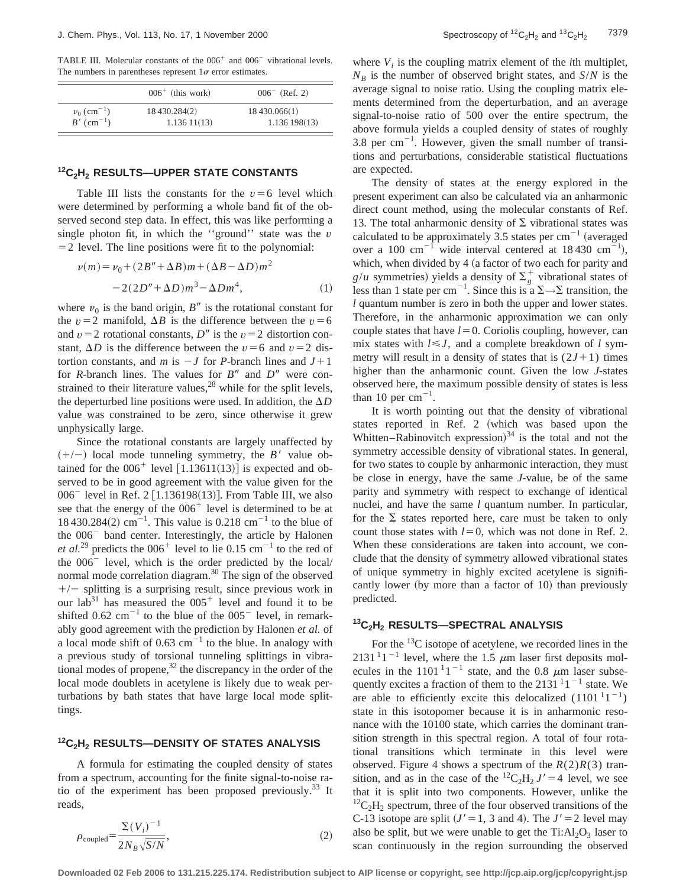TABLE III. Molecular constants of the  $006<sup>+</sup>$  and  $006<sup>-</sup>$  vibrational levels. The numbers in parentheses represent  $1\sigma$  error estimates.

|                           | $006+$ (this work) | $006^-$ (Ref. 2) |
|---------------------------|--------------------|------------------|
| $v_0$ (cm <sup>-1</sup> ) | 18 430.284(2)      | 18 430.066(1)    |
| $B'$ (cm <sup>-1</sup> )  | 1.13611(13)        | 1.136198(13)     |

#### **12C2H2 RESULTS—UPPER STATE CONSTANTS**

Table III lists the constants for the  $v=6$  level which were determined by performing a whole band fit of the observed second step data. In effect, this was like performing a single photon fit, in which the ''ground'' state was the *v*  $=$  2 level. The line positions were fit to the polynomial:

$$
\nu(m) = \nu_0 + (2B'' + \Delta B)m + (\Delta B - \Delta D)m^2 - 2(2D'' + \Delta D)m^3 - \Delta Dm^4,
$$
 (1)

where  $v_0$  is the band origin, *B<sup>n</sup>* is the rotational constant for the *v* = 2 manifold,  $\Delta B$  is the difference between the *v* = 6 and  $v=2$  rotational constants, *D<sup>n</sup>* is the  $v=2$  distortion constant,  $\Delta D$  is the difference between the *v* = 6 and *v* = 2 distortion constants, and *m* is  $-J$  for *P*-branch lines and  $J+1$ for *R*-branch lines. The values for  $B''$  and  $D''$  were constrained to their literature values, $^{28}$  while for the split levels, the deperturbed line positions were used. In addition, the  $\Delta D$ value was constrained to be zero, since otherwise it grew unphysically large.

Since the rotational constants are largely unaffected by  $(+/-)$  local mode tunneling symmetry, the *B'* value obtained for the  $006^+$  level  $[1.13611(13)]$  is expected and observed to be in good agreement with the value given for the  $006^-$  level in Ref. 2 [1.136198(13)]. From Table III, we also see that the energy of the  $006<sup>+</sup>$  level is determined to be at 18 430.284(2)  $cm^{-1}$ . This value is 0.218  $cm^{-1}$  to the blue of the  $006<sup>-</sup>$  band center. Interestingly, the article by Halonen *et al.*<sup>29</sup> predicts the  $006<sup>+</sup>$  level to lie 0.15 cm<sup>-1</sup> to the red of the  $006<sup>-</sup>$  level, which is the order predicted by the local/ normal mode correlation diagram.<sup>30</sup> The sign of the observed  $+/-$  splitting is a surprising result, since previous work in our lab<sup>31</sup> has measured the  $005<sup>+</sup>$  level and found it to be shifted  $0.62$  cm<sup>-1</sup> to the blue of the  $005$ <sup>-</sup> level, in remarkably good agreement with the prediction by Halonen *et al.* of a local mode shift of  $0.63 \text{ cm}^{-1}$  to the blue. In analogy with a previous study of torsional tunneling splittings in vibrational modes of propene, $32$  the discrepancy in the order of the local mode doublets in acetylene is likely due to weak perturbations by bath states that have large local mode splittings.

#### **12C2H2 RESULTS—DENSITY OF STATES ANALYSIS**

A formula for estimating the coupled density of states from a spectrum, accounting for the finite signal-to-noise ratio of the experiment has been proposed previously.33 It reads,

$$
\rho_{\text{coupled}} = \frac{\Sigma (V_i)^{-1}}{2N_B \sqrt{S/N}},\tag{2}
$$

where  $V_i$  is the coupling matrix element of the *i*th multiplet,  $N_B$  is the number of observed bright states, and *S*/*N* is the average signal to noise ratio. Using the coupling matrix elements determined from the deperturbation, and an average signal-to-noise ratio of 500 over the entire spectrum, the above formula yields a coupled density of states of roughly 3.8 per  $cm^{-1}$ . However, given the small number of transitions and perturbations, considerable statistical fluctuations are expected.

The density of states at the energy explored in the present experiment can also be calculated via an anharmonic direct count method, using the molecular constants of Ref. 13. The total anharmonic density of  $\Sigma$  vibrational states was calculated to be approximately 3.5 states per  $cm^{-1}$  (averaged over a 100 cm<sup>-1</sup> wide interval centered at 18430 cm<sup>-1</sup>), which, when divided by 4 (a factor of two each for parity and  $g/u$  symmetries) yields a density of  $\Sigma_g^+$  vibrational states of less than 1 state per cm<sup>-1</sup>. Since this is a  $\Sigma \rightarrow \Sigma$  transition, the *l* quantum number is zero in both the upper and lower states. Therefore, in the anharmonic approximation we can only couple states that have  $l=0$ . Coriolis coupling, however, can mix states with  $l \leq J$ , and a complete breakdown of *l* symmetry will result in a density of states that is  $(2J+1)$  times higher than the anharmonic count. Given the low *J*-states observed here, the maximum possible density of states is less than 10 per  $cm^{-1}$ .

It is worth pointing out that the density of vibrational states reported in Ref. 2 (which was based upon the Whitten–Rabinovitch expression) $34$  is the total and not the symmetry accessible density of vibrational states. In general, for two states to couple by anharmonic interaction, they must be close in energy, have the same *J*-value, be of the same parity and symmetry with respect to exchange of identical nuclei, and have the same *l* quantum number. In particular, for the  $\Sigma$  states reported here, care must be taken to only count those states with  $l=0$ , which was not done in Ref. 2. When these considerations are taken into account, we conclude that the density of symmetry allowed vibrational states of unique symmetry in highly excited acetylene is significantly lower (by more than a factor of  $10$ ) than previously predicted.

## **13C2H2 RESULTS—SPECTRAL ANALYSIS**

For the  $^{13}$ C isotope of acetylene, we recorded lines in the 2131<sup>1</sup>1<sup>-1</sup> level, where the 1.5  $\mu$ m laser first deposits molecules in the 1101<sup>-1</sup> state, and the 0.8  $\mu$ m laser subsequently excites a fraction of them to the 2131 $11^{-1}$  state. We are able to efficiently excite this delocalized  $(1101^11^{-1})$ state in this isotopomer because it is in anharmonic resonance with the 10100 state, which carries the dominant transition strength in this spectral region. A total of four rotational transitions which terminate in this level were observed. Figure 4 shows a spectrum of the  $R(2)R(3)$  transition, and as in the case of the  ${}^{12}C_2H_2 J' = 4$  level, we see that it is split into two components. However, unlike the  ${}^{12}C_2H_2$  spectrum, three of the four observed transitions of the C-13 isotope are split  $(J' = 1, 3 \text{ and } 4)$ . The  $J' = 2$  level may also be split, but we were unable to get the  $Ti: Al<sub>2</sub>O<sub>3</sub>$  laser to scan continuously in the region surrounding the observed

**Downloaded 02 Feb 2006 to 131.215.225.174. Redistribution subject to AIP license or copyright, see http://jcp.aip.org/jcp/copyright.jsp**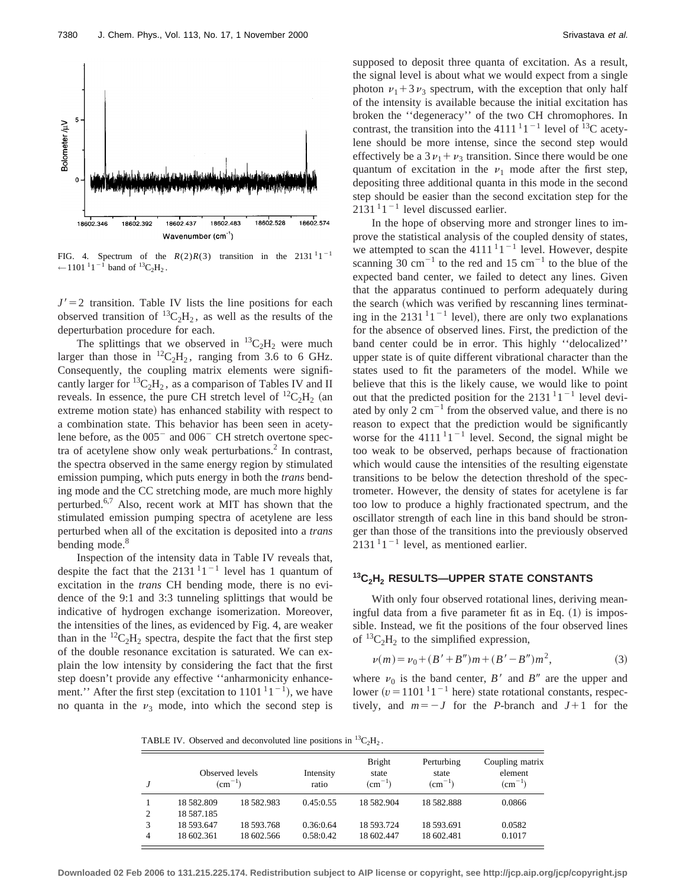

FIG. 4. Spectrum of the  $R(2)R(3)$  transition in the 2131<sup>1</sup>1<sup>-1</sup> ← 1101<sup>-1</sup>1<sup>-1</sup> band of  ${}^{13}C_2H_2$ .

 $J' = 2$  transition. Table IV lists the line positions for each observed transition of  ${}^{13}C_2H_2$ , as well as the results of the deperturbation procedure for each.

The splittings that we observed in  ${}^{13}C_2H_2$  were much larger than those in  ${}^{12}C_2H_2$ , ranging from 3.6 to 6 GHz. Consequently, the coupling matrix elements were significantly larger for  ${}^{13}C_2H_2$ , as a comparison of Tables IV and II reveals. In essence, the pure CH stretch level of  ${}^{12}C_2H_2$  (an extreme motion state) has enhanced stability with respect to a combination state. This behavior has been seen in acetylene before, as the  $005^-$  and  $006^-$  CH stretch overtone spectra of acetylene show only weak perturbations. $^{2}$  In contrast, the spectra observed in the same energy region by stimulated emission pumping, which puts energy in both the *trans* bending mode and the CC stretching mode, are much more highly perturbed.6,7 Also, recent work at MIT has shown that the stimulated emission pumping spectra of acetylene are less perturbed when all of the excitation is deposited into a *trans* bending mode.<sup>8</sup>

Inspection of the intensity data in Table IV reveals that, despite the fact that the  $2131^{1}1^{-1}$  level has 1 quantum of excitation in the *trans* CH bending mode, there is no evidence of the 9:1 and 3:3 tunneling splittings that would be indicative of hydrogen exchange isomerization. Moreover, the intensities of the lines, as evidenced by Fig. 4, are weaker than in the  ${}^{12}C_2H_2$  spectra, despite the fact that the first step of the double resonance excitation is saturated. We can explain the low intensity by considering the fact that the first step doesn't provide any effective ''anharmonicity enhancement." After the first step (excitation to  $1101^{11}$ <sup>-1</sup>), we have no quanta in the  $\nu_3$  mode, into which the second step is supposed to deposit three quanta of excitation. As a result, the signal level is about what we would expect from a single photon  $\nu_1 + 3\nu_3$  spectrum, with the exception that only half of the intensity is available because the initial excitation has broken the ''degeneracy'' of the two CH chromophores. In contrast, the transition into the 4111<sup>1</sup>1<sup>-1</sup> level of <sup>13</sup>C acetylene should be more intense, since the second step would effectively be a  $3v_1 + v_3$  transition. Since there would be one quantum of excitation in the  $\nu_1$  mode after the first step, depositing three additional quanta in this mode in the second step should be easier than the second excitation step for the  $2131<sup>1</sup>1<sup>-1</sup>$  level discussed earlier.

In the hope of observing more and stronger lines to improve the statistical analysis of the coupled density of states, we attempted to scan the  $4111^{1}1^{-1}$  level. However, despite scanning 30 cm<sup>-1</sup> to the red and 15 cm<sup>-1</sup> to the blue of the expected band center, we failed to detect any lines. Given that the apparatus continued to perform adequately during the search (which was verified by rescanning lines terminating in the 2131<sup>1</sup>1<sup>-1</sup> level), there are only two explanations for the absence of observed lines. First, the prediction of the band center could be in error. This highly ''delocalized'' upper state is of quite different vibrational character than the states used to fit the parameters of the model. While we believe that this is the likely cause, we would like to point out that the predicted position for the  $2131^{1}1^{-1}$  level deviated by only 2  $cm^{-1}$  from the observed value, and there is no reason to expect that the prediction would be significantly worse for the 4111<sup>1</sup>1<sup>-1</sup> level. Second, the signal might be too weak to be observed, perhaps because of fractionation which would cause the intensities of the resulting eigenstate transitions to be below the detection threshold of the spectrometer. However, the density of states for acetylene is far too low to produce a highly fractionated spectrum, and the oscillator strength of each line in this band should be stronger than those of the transitions into the previously observed  $2131<sup>1</sup>1<sup>-1</sup>$  level, as mentioned earlier.

# **13C2H2 RESULTS—UPPER STATE CONSTANTS**

With only four observed rotational lines, deriving meaningful data from a five parameter fit as in Eq.  $(1)$  is impossible. Instead, we fit the positions of the four observed lines of  ${}^{13}C_2H_2$  to the simplified expression,

$$
\nu(m) = \nu_0 + (B' + B'')m + (B' - B'')m^2,
$$
\n(3)

where  $\nu_0$  is the band center,  $B'$  and  $B''$  are the upper and lower ( $v = 1101^{-1}1^{-1}$  here) state rotational constants, respectively, and  $m=-J$  for the *P*-branch and  $J+1$  for the

TABLE IV. Observed and deconvoluted line positions in  ${}^{13}C_2H_2$ .

|   |            | Observed levels<br>$\rm (cm^{-1})$ | Intensity<br>ratio | <b>Bright</b><br>state<br>$\rm (cm^{-1})$ | Perturbing<br>state<br>$\rm (cm^{-1})$ | Coupling matrix<br>element<br>$(cm^{-1})$ |
|---|------------|------------------------------------|--------------------|-------------------------------------------|----------------------------------------|-------------------------------------------|
|   | 18582.809  | 18582.983                          | 0.45:0.55          | 18 582.904                                | 18582.888                              | 0.0866                                    |
| 2 | 18 587.185 |                                    |                    |                                           |                                        |                                           |
| 3 | 18 593.647 | 18 593.768                         | 0.36:0.64          | 18 593.724                                | 18 593.691                             | 0.0582                                    |
| 4 | 18 602.361 | 18 602.566                         | 0.58:0.42          | 18 602.447                                | 18 602.481                             | 0.1017                                    |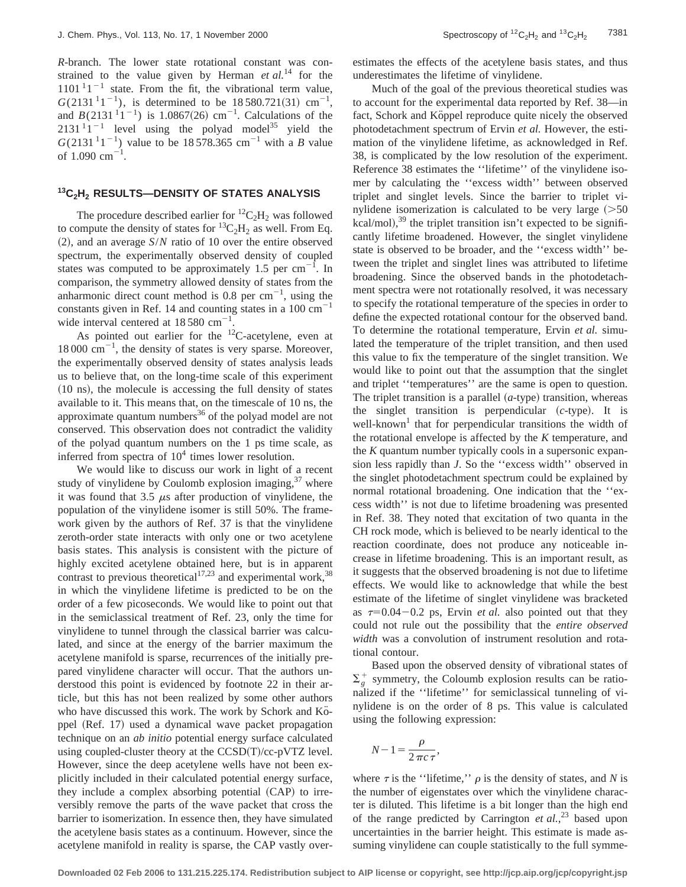*R*-branch. The lower state rotational constant was constrained to the value given by Herman *et al.*<sup>14</sup> for the  $1101^{11}$ <sup>-1</sup> state. From the fit, the vibrational term value,  $G(2131<sup>1</sup>1<sup>-1</sup>)$ , is determined to be 18580.721(31) cm<sup>-1</sup>, and  $B(2131^{11}1^{-1})$  is 1.0867(26) cm<sup>-1</sup>. Calculations of the  $2131^{11}$ <sup>-1</sup> level using the polyad model<sup>35</sup> yield the  $G(2131^{11})$  value to be 18 578.365 cm<sup>-1</sup> with a *B* value of  $1.090 \text{ cm}^{-1}$ .

# **13C2H2 RESULTS—DENSITY OF STATES ANALYSIS**

The procedure described earlier for  ${}^{12}C_2H_2$  was followed to compute the density of states for  ${}^{13}C_2H_2$  as well. From Eq.  $(2)$ , and an average *S/N* ratio of 10 over the entire observed spectrum, the experimentally observed density of coupled states was computed to be approximately 1.5 per  $cm^{-1}$ . In comparison, the symmetry allowed density of states from the anharmonic direct count method is 0.8 per  $cm^{-1}$ , using the constants given in Ref. 14 and counting states in a 100  $\text{cm}^{-1}$ wide interval centered at  $18580 \text{ cm}^{-1}$ .

As pointed out earlier for the  $^{12}$ C-acetylene, even at  $18000 \text{ cm}^{-1}$ , the density of states is very sparse. Moreover, the experimentally observed density of states analysis leads us to believe that, on the long-time scale of this experiment  $(10 \text{ ns})$ , the molecule is accessing the full density of states available to it. This means that, on the timescale of 10 ns, the approximate quantum numbers $36$  of the polyad model are not conserved. This observation does not contradict the validity of the polyad quantum numbers on the 1 ps time scale, as inferred from spectra of  $10<sup>4</sup>$  times lower resolution.

We would like to discuss our work in light of a recent study of vinylidene by Coulomb explosion imaging, $37$  where it was found that 3.5  $\mu$ s after production of vinylidene, the population of the vinylidene isomer is still 50%. The framework given by the authors of Ref. 37 is that the vinylidene zeroth-order state interacts with only one or two acetylene basis states. This analysis is consistent with the picture of highly excited acetylene obtained here, but is in apparent contrast to previous theoretical<sup>17,23</sup> and experimental work,<sup>38</sup> in which the vinylidene lifetime is predicted to be on the order of a few picoseconds. We would like to point out that in the semiclassical treatment of Ref. 23, only the time for vinylidene to tunnel through the classical barrier was calculated, and since at the energy of the barrier maximum the acetylene manifold is sparse, recurrences of the initially prepared vinylidene character will occur. That the authors understood this point is evidenced by footnote 22 in their article, but this has not been realized by some other authors who have discussed this work. The work by Schork and Ko-ppel (Ref. 17) used a dynamical wave packet propagation technique on an *ab initio* potential energy surface calculated using coupled-cluster theory at the  $CCSD(T)/cc-pVTZ$  level. However, since the deep acetylene wells have not been explicitly included in their calculated potential energy surface, they include a complex absorbing potential  $(CAP)$  to irreversibly remove the parts of the wave packet that cross the barrier to isomerization. In essence then, they have simulated the acetylene basis states as a continuum. However, since the acetylene manifold in reality is sparse, the CAP vastly overestimates the effects of the acetylene basis states, and thus underestimates the lifetime of vinylidene.

Much of the goal of the previous theoretical studies was to account for the experimental data reported by Ref. 38—in fact, Schork and Köppel reproduce quite nicely the observed photodetachment spectrum of Ervin *et al.* However, the estimation of the vinylidene lifetime, as acknowledged in Ref. 38, is complicated by the low resolution of the experiment. Reference 38 estimates the ''lifetime'' of the vinylidene isomer by calculating the ''excess width'' between observed triplet and singlet levels. Since the barrier to triplet vinylidene isomerization is calculated to be very large  $(>=50$  $kcal/mol$ ,<sup>39</sup> the triplet transition isn't expected to be significantly lifetime broadened. However, the singlet vinylidene state is observed to be broader, and the ''excess width'' between the triplet and singlet lines was attributed to lifetime broadening. Since the observed bands in the photodetachment spectra were not rotationally resolved, it was necessary to specify the rotational temperature of the species in order to define the expected rotational contour for the observed band. To determine the rotational temperature, Ervin *et al.* simulated the temperature of the triplet transition, and then used this value to fix the temperature of the singlet transition. We would like to point out that the assumption that the singlet and triplet ''temperatures'' are the same is open to question. The triplet transition is a parallel  $(a$ -type) transition, whereas the singlet transition is perpendicular  $(c$ -type). It is well-known<sup>1</sup> that for perpendicular transitions the width of the rotational envelope is affected by the *K* temperature, and the *K* quantum number typically cools in a supersonic expansion less rapidly than *J*. So the ''excess width'' observed in the singlet photodetachment spectrum could be explained by normal rotational broadening. One indication that the ''excess width'' is not due to lifetime broadening was presented in Ref. 38. They noted that excitation of two quanta in the CH rock mode, which is believed to be nearly identical to the reaction coordinate, does not produce any noticeable increase in lifetime broadening. This is an important result, as it suggests that the observed broadening is not due to lifetime effects. We would like to acknowledge that while the best estimate of the lifetime of singlet vinylidene was bracketed as  $\tau=0.04-0.2$  ps, Ervin *et al.* also pointed out that they could not rule out the possibility that the *entire observed width* was a convolution of instrument resolution and rotational contour.

Based upon the observed density of vibrational states of  $\Sigma_g^+$  symmetry, the Coloumb explosion results can be rationalized if the ''lifetime'' for semiclassical tunneling of vinylidene is on the order of 8 ps. This value is calculated using the following expression:

$$
N-1=\frac{\rho}{2\pi c\,\tau},
$$

where  $\tau$  is the ''lifetime,''  $\rho$  is the density of states, and *N* is the number of eigenstates over which the vinylidene character is diluted. This lifetime is a bit longer than the high end of the range predicted by Carrington *et al.*, <sup>23</sup> based upon uncertainties in the barrier height. This estimate is made assuming vinylidene can couple statistically to the full symme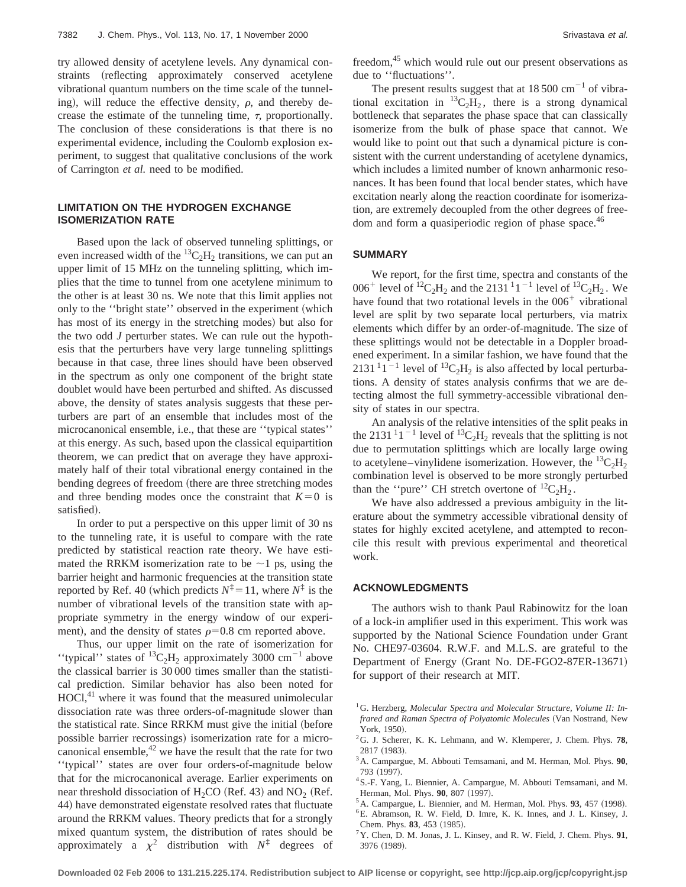try allowed density of acetylene levels. Any dynamical constraints (reflecting approximately conserved acetylene vibrational quantum numbers on the time scale of the tunneling), will reduce the effective density,  $\rho$ , and thereby decrease the estimate of the tunneling time,  $\tau$ , proportionally. The conclusion of these considerations is that there is no experimental evidence, including the Coulomb explosion experiment, to suggest that qualitative conclusions of the work of Carrington *et al.* need to be modified.

## **LIMITATION ON THE HYDROGEN EXCHANGE ISOMERIZATION RATE**

Based upon the lack of observed tunneling splittings, or even increased width of the  ${}^{13}C_2H_2$  transitions, we can put an upper limit of 15 MHz on the tunneling splitting, which implies that the time to tunnel from one acetylene minimum to the other is at least 30 ns. We note that this limit applies not only to the "bright state" observed in the experiment (which has most of its energy in the stretching modes) but also for the two odd *J* perturber states. We can rule out the hypothesis that the perturbers have very large tunneling splittings because in that case, three lines should have been observed in the spectrum as only one component of the bright state doublet would have been perturbed and shifted. As discussed above, the density of states analysis suggests that these perturbers are part of an ensemble that includes most of the microcanonical ensemble, i.e., that these are ''typical states'' at this energy. As such, based upon the classical equipartition theorem, we can predict that on average they have approximately half of their total vibrational energy contained in the bending degrees of freedom (there are three stretching modes and three bending modes once the constraint that  $K=0$  is satisfied).

In order to put a perspective on this upper limit of 30 ns to the tunneling rate, it is useful to compare with the rate predicted by statistical reaction rate theory. We have estimated the RRKM isomerization rate to be  $\sim$ 1 ps, using the barrier height and harmonic frequencies at the transition state reported by Ref. 40 (which predicts  $N^{\ddagger} = 11$ , where  $N^{\ddagger}$  is the number of vibrational levels of the transition state with appropriate symmetry in the energy window of our experiment), and the density of states  $\rho=0.8$  cm reported above.

Thus, our upper limit on the rate of isomerization for "typical" states of  ${}^{13}C_2H_2$  approximately 3000 cm<sup>-1</sup> above the classical barrier is 30 000 times smaller than the statistical prediction. Similar behavior has also been noted for  $HOCl<sub>1</sub><sup>41</sup>$  where it was found that the measured unimolecular dissociation rate was three orders-of-magnitude slower than the statistical rate. Since RRKM must give the initial (before possible barrier recrossings) isomerization rate for a microcanonical ensemble, $42$  we have the result that the rate for two ''typical'' states are over four orders-of-magnitude below that for the microcanonical average. Earlier experiments on near threshold dissociation of  $H_2CO$  (Ref. 43) and NO<sub>2</sub> (Ref. 44) have demonstrated eigenstate resolved rates that fluctuate around the RRKM values. Theory predicts that for a strongly mixed quantum system, the distribution of rates should be approximately a  $\chi^2$  distribution with  $N^{\ddagger}$  degrees of

freedom,<sup>45</sup> which would rule out our present observations as due to ''fluctuations''.

The present results suggest that at  $18\,500\,\mathrm{cm}^{-1}$  of vibrational excitation in  ${}^{13}C_2H_2$ , there is a strong dynamical bottleneck that separates the phase space that can classically isomerize from the bulk of phase space that cannot. We would like to point out that such a dynamical picture is consistent with the current understanding of acetylene dynamics, which includes a limited number of known anharmonic resonances. It has been found that local bender states, which have excitation nearly along the reaction coordinate for isomerization, are extremely decoupled from the other degrees of freedom and form a quasiperiodic region of phase space.<sup>46</sup>

#### **SUMMARY**

We report, for the first time, spectra and constants of the 006<sup>+</sup> level of <sup>12</sup>C<sub>2</sub>H<sub>2</sub> and the 2131<sup>1</sup><sub>1</sub><sup>-1</sup> level of <sup>13</sup>C<sub>2</sub>H<sub>2</sub>. We have found that two rotational levels in the  $006<sup>+</sup>$  vibrational level are split by two separate local perturbers, via matrix elements which differ by an order-of-magnitude. The size of these splittings would not be detectable in a Doppler broadened experiment. In a similar fashion, we have found that the  $2131^{11}$ <sup>-1</sup> level of <sup>13</sup>C<sub>2</sub>H<sub>2</sub> is also affected by local perturbations. A density of states analysis confirms that we are detecting almost the full symmetry-accessible vibrational density of states in our spectra.

An analysis of the relative intensities of the split peaks in the 2131<sup>1</sup>1<sup>-1</sup> level of <sup>13</sup>C<sub>2</sub>H<sub>2</sub> reveals that the splitting is not due to permutation splittings which are locally large owing to acetylene–vinylidene isomerization. However, the  ${}^{13}C_2H_2$ combination level is observed to be more strongly perturbed than the "pure" CH stretch overtone of  ${}^{12}C_2H_2$ .

We have also addressed a previous ambiguity in the literature about the symmetry accessible vibrational density of states for highly excited acetylene, and attempted to reconcile this result with previous experimental and theoretical work.

#### **ACKNOWLEDGMENTS**

The authors wish to thank Paul Rabinowitz for the loan of a lock-in amplifier used in this experiment. This work was supported by the National Science Foundation under Grant No. CHE97-03604. R.W.F. and M.L.S. are grateful to the Department of Energy (Grant No. DE-FGO2-87ER-13671) for support of their research at MIT.

<sup>&</sup>lt;sup>1</sup>G. Herzberg, Molecular Spectra and Molecular Structure, Volume II: In*frared and Raman Spectra of Polyatomic Molecules* (Van Nostrand, New York, 1950).

<sup>2</sup>G. J. Scherer, K. K. Lehmann, and W. Klemperer, J. Chem. Phys. **78**, 2817 (1983).

<sup>3</sup>A. Campargue, M. Abbouti Temsamani, and M. Herman, Mol. Phys. **90**, 793 (1997).

<sup>4</sup>S.-F. Yang, L. Biennier, A. Campargue, M. Abbouti Temsamani, and M. Herman, Mol. Phys. 90, 807 (1997).

 $5$ A. Campargue, L. Biennier, and M. Herman, Mol. Phys.  $93$ ,  $457$  (1998).

<sup>6</sup>E. Abramson, R. W. Field, D. Imre, K. K. Innes, and J. L. Kinsey, J. Chem. Phys. 83, 453 (1985).

<sup>7</sup>Y. Chen, D. M. Jonas, J. L. Kinsey, and R. W. Field, J. Chem. Phys. **91**, 3976 (1989).